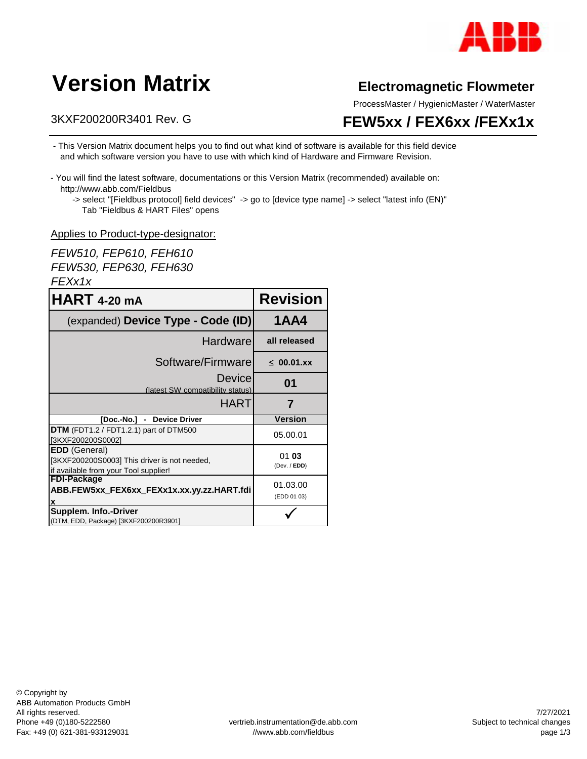

# **Version Matrix**

#### 3KXF200200R3401 Rev. G

#### **Electromagnetic Flowmeter**

ProcessMaster / HygienicMaster / WaterMaster

### **FEW5xx / FEX6xx /FEXx1x**

- This Version Matrix document helps you to find out what kind of software is available for this field device and which software version you have to use with which kind of Hardware and Firmware Revision.
- You will find the latest software, documentations or this Version Matrix (recommended) available on: http://www.abb.com/Fieldbus
	- -> select "[Fieldbus protocol] field devices" -> go to [device type name] -> select "latest info (EN)" Tab "Fieldbus & HART Files" opens

#### Applies to Product-type-designator:

*FEW510, FEP610, FEH610 FEW530, FEP630, FEH630 FEXx1x*

| <b>HART 4-20 mA</b>                                                                                           | <b>Revision</b>         |
|---------------------------------------------------------------------------------------------------------------|-------------------------|
| (expanded) Device Type - Code (ID)                                                                            | <b>1AA4</b>             |
| Hardware                                                                                                      | all released            |
| Software/Firmware                                                                                             | $\leq 00.01$ .xx        |
| Device<br>(latest SW compatibility status)                                                                    | 01                      |
| HART                                                                                                          |                         |
| [Doc.-No.] - Device Driver                                                                                    | <b>Version</b>          |
| DTM (FDT1.2 / FDT1.2.1) part of DTM500<br>[3KXF200200S0002]                                                   | 05.00.01                |
| <b>EDD</b> (General)<br>[3KXF200200S0003] This driver is not needed,<br>if available from your Tool supplier! | 0103<br>(Dev. / EDD)    |
| <b>FDI-Package</b><br>ABB.FEW5xx FEX6xx FEXx1x.xx.yy.zz.HART.fdi                                              | 01.03.00<br>(EDD 01 03) |
| Supplem. Info.-Driver<br>(DTM, EDD, Package) [3KXF200200R3901]                                                |                         |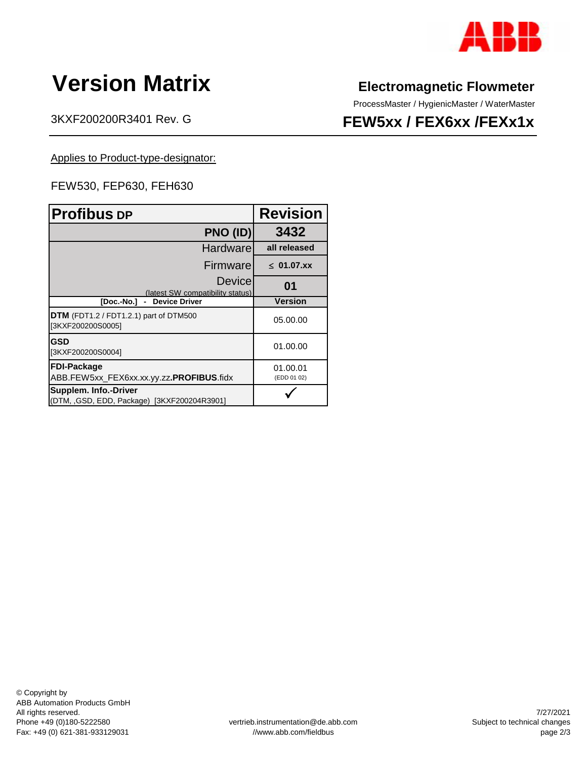

# **Version Matrix**

3KXF200200R3401 Rev. G

#### **Electromagnetic Flowmeter**

ProcessMaster / HygienicMaster / WaterMaster

### **FEW5xx / FEX6xx /FEXx1x**

Applies to Product-type-designator:

#### FEW530, FEP630, FEH630

| <b>Profibus DP</b>                                                  | <b>Revision</b>         |
|---------------------------------------------------------------------|-------------------------|
| PNO (ID)                                                            | 3432                    |
| <b>Hardware</b>                                                     | all released            |
| Firmware                                                            | $\leq$ 01.07.xx         |
| Device<br>(latest SW compatibility status)                          | 01                      |
| - Device Driver<br>[Doc.-No.]                                       | <b>Version</b>          |
| $DTM$ (FDT1.2 / FDT1.2.1) part of DTM500<br>[3KXF200200S0005]       | 05.00.00                |
| <b>GSD</b><br>[3KXF200200S0004]                                     | 01.00.00                |
| <b>FDI-Package</b><br>ABB.FEW5xx_FEX6xx.xx.yy.zz.PROFIBUS.fidx      | 01.00.01<br>(EDD 01 02) |
| Supplem. Info.-Driver<br>(DTM, GSD, EDD, Package) [3KXF200204R3901] |                         |